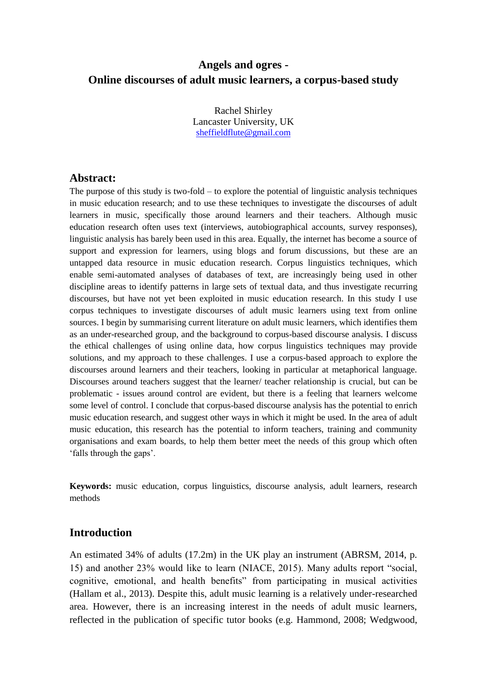# **Angels and ogres - Online discourses of adult music learners, a corpus-based study**

Rachel Shirley Lancaster University, UK [sheffieldflute@gmail.com](mailto:sheffieldflute@gmail.com)

#### **Abstract:**

The purpose of this study is two-fold  $-$  to explore the potential of linguistic analysis techniques in music education research; and to use these techniques to investigate the discourses of adult learners in music, specifically those around learners and their teachers. Although music education research often uses text (interviews, autobiographical accounts, survey responses), linguistic analysis has barely been used in this area. Equally, the internet has become a source of support and expression for learners, using blogs and forum discussions, but these are an untapped data resource in music education research. Corpus linguistics techniques, which enable semi-automated analyses of databases of text, are increasingly being used in other discipline areas to identify patterns in large sets of textual data, and thus investigate recurring discourses, but have not yet been exploited in music education research. In this study I use corpus techniques to investigate discourses of adult music learners using text from online sources. I begin by summarising current literature on adult music learners, which identifies them as an under-researched group, and the background to corpus-based discourse analysis. I discuss the ethical challenges of using online data, how corpus linguistics techniques may provide solutions, and my approach to these challenges. I use a corpus-based approach to explore the discourses around learners and their teachers, looking in particular at metaphorical language. Discourses around teachers suggest that the learner/ teacher relationship is crucial, but can be problematic - issues around control are evident, but there is a feeling that learners welcome some level of control. I conclude that corpus-based discourse analysis has the potential to enrich music education research, and suggest other ways in which it might be used. In the area of adult music education, this research has the potential to inform teachers, training and community organisations and exam boards, to help them better meet the needs of this group which often 'falls through the gaps'.

**Keywords:** music education, corpus linguistics, discourse analysis, adult learners, research methods

### **Introduction**

An estimated 34% of adults (17.2m) in the UK play an instrument (ABRSM, 2014, p. 15) and another 23% would like to learn (NIACE, 2015). Many adults report "social, cognitive, emotional, and health benefits" from participating in musical activities (Hallam et al., 2013). Despite this, adult music learning is a relatively under-researched area. However, there is an increasing interest in the needs of adult music learners, reflected in the publication of specific tutor books (e.g. Hammond, 2008; Wedgwood,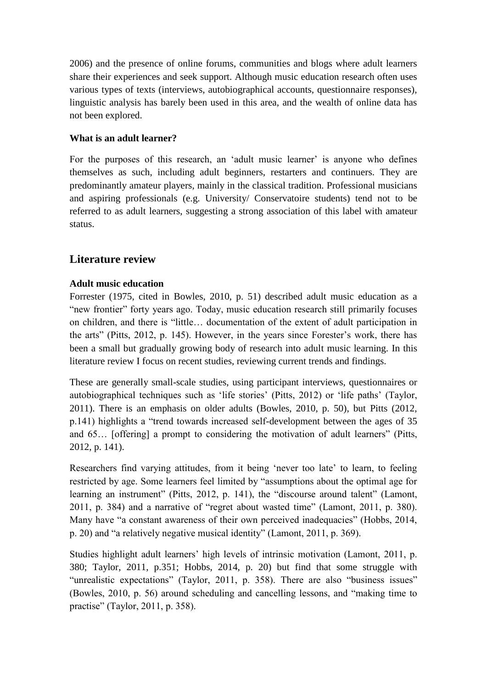2006) and the presence of online forums, communities and blogs where adult learners share their experiences and seek support. Although music education research often uses various types of texts (interviews, autobiographical accounts, questionnaire responses), linguistic analysis has barely been used in this area, and the wealth of online data has not been explored.

#### **What is an adult learner?**

For the purposes of this research, an 'adult music learner' is anyone who defines themselves as such, including adult beginners, restarters and continuers. They are predominantly amateur players, mainly in the classical tradition. Professional musicians and aspiring professionals (e.g. University/ Conservatoire students) tend not to be referred to as adult learners, suggesting a strong association of this label with amateur status.

### **Literature review**

#### **Adult music education**

Forrester (1975, cited in Bowles, 2010, p. 51) described adult music education as a "new frontier" forty years ago. Today, music education research still primarily focuses on children, and there is "little… documentation of the extent of adult participation in the arts" (Pitts, 2012, p. 145). However, in the years since Forester's work, there has been a small but gradually growing body of research into adult music learning. In this literature review I focus on recent studies, reviewing current trends and findings.

These are generally small-scale studies, using participant interviews, questionnaires or autobiographical techniques such as 'life stories' (Pitts, 2012) or 'life paths' (Taylor, 2011). There is an emphasis on older adults (Bowles, 2010, p. 50), but Pitts (2012, p.141) highlights a "trend towards increased self-development between the ages of 35 and 65… [offering] a prompt to considering the motivation of adult learners" (Pitts, 2012, p. 141).

Researchers find varying attitudes, from it being 'never too late' to learn, to feeling restricted by age. Some learners feel limited by "assumptions about the optimal age for learning an instrument" (Pitts, 2012, p. 141), the "discourse around talent" (Lamont, 2011, p. 384) and a narrative of "regret about wasted time" (Lamont, 2011, p. 380). Many have "a constant awareness of their own perceived inadequacies" (Hobbs, 2014, p. 20) and "a relatively negative musical identity" (Lamont, 2011, p. 369).

Studies highlight adult learners' high levels of intrinsic motivation (Lamont, 2011, p. 380; Taylor, 2011, p.351; Hobbs, 2014, p. 20) but find that some struggle with "unrealistic expectations" (Taylor, 2011, p. 358). There are also "business issues" (Bowles, 2010, p. 56) around scheduling and cancelling lessons, and "making time to practise" (Taylor, 2011, p. 358).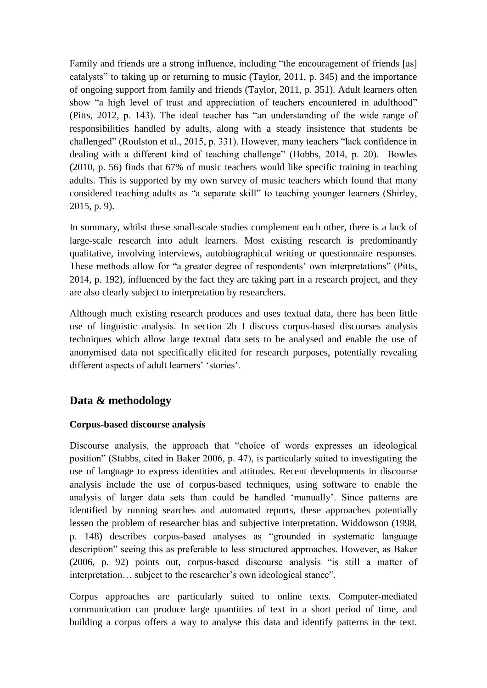Family and friends are a strong influence, including "the encouragement of friends [as] catalysts" to taking up or returning to music (Taylor, 2011, p. 345) and the importance of ongoing support from family and friends (Taylor, 2011, p. 351). Adult learners often show "a high level of trust and appreciation of teachers encountered in adulthood" (Pitts, 2012, p. 143). The ideal teacher has "an understanding of the wide range of responsibilities handled by adults, along with a steady insistence that students be challenged" (Roulston et al., 2015, p. 331). However, many teachers "lack confidence in dealing with a different kind of teaching challenge" (Hobbs, 2014, p. 20). Bowles (2010, p. 56) finds that 67% of music teachers would like specific training in teaching adults. This is supported by my own survey of music teachers which found that many considered teaching adults as "a separate skill" to teaching younger learners (Shirley, 2015, p. 9).

In summary, whilst these small-scale studies complement each other, there is a lack of large-scale research into adult learners. Most existing research is predominantly qualitative, involving interviews, autobiographical writing or questionnaire responses. These methods allow for "a greater degree of respondents' own interpretations" (Pitts, 2014, p. 192), influenced by the fact they are taking part in a research project, and they are also clearly subject to interpretation by researchers.

Although much existing research produces and uses textual data, there has been little use of linguistic analysis. In section 2b I discuss corpus-based discourses analysis techniques which allow large textual data sets to be analysed and enable the use of anonymised data not specifically elicited for research purposes, potentially revealing different aspects of adult learners' 'stories'.

## **Data & methodology**

#### **Corpus-based discourse analysis**

Discourse analysis, the approach that "choice of words expresses an ideological position" (Stubbs, cited in Baker 2006, p. 47), is particularly suited to investigating the use of language to express identities and attitudes. Recent developments in discourse analysis include the use of corpus-based techniques, using software to enable the analysis of larger data sets than could be handled 'manually'. Since patterns are identified by running searches and automated reports, these approaches potentially lessen the problem of researcher bias and subjective interpretation. Widdowson (1998, p. 148) describes corpus-based analyses as "grounded in systematic language description" seeing this as preferable to less structured approaches. However, as Baker (2006, p. 92) points out, corpus-based discourse analysis "is still a matter of interpretation… subject to the researcher's own ideological stance".

Corpus approaches are particularly suited to online texts. Computer-mediated communication can produce large quantities of text in a short period of time, and building a corpus offers a way to analyse this data and identify patterns in the text.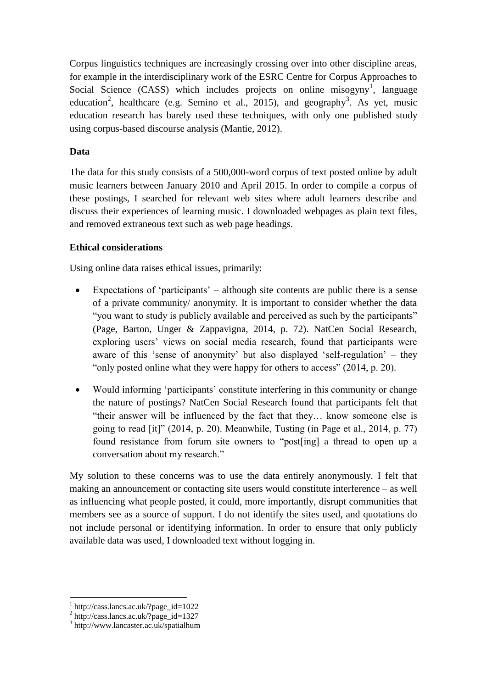Corpus linguistics techniques are increasingly crossing over into other discipline areas, for example in the interdisciplinary work of the ESRC Centre for Corpus Approaches to Social Science  $(CASS)$  which includes projects on online misogyny<sup>1</sup>, language education<sup>2</sup>, healthcare (e.g. Semino et al., 2015), and geography<sup>3</sup>. As yet, music education research has barely used these techniques, with only one published study using corpus-based discourse analysis (Mantie, 2012).

#### **Data**

The data for this study consists of a 500,000-word corpus of text posted online by adult music learners between January 2010 and April 2015. In order to compile a corpus of these postings, I searched for relevant web sites where adult learners describe and discuss their experiences of learning music. I downloaded webpages as plain text files, and removed extraneous text such as web page headings.

#### **Ethical considerations**

Using online data raises ethical issues, primarily:

- Expectations of 'participants' although site contents are public there is a sense of a private community/ anonymity. It is important to consider whether the data "you want to study is publicly available and perceived as such by the participants" (Page, Barton, Unger & Zappavigna, 2014, p. 72). NatCen Social Research, exploring users' views on social media research, found that participants were aware of this 'sense of anonymity' but also displayed 'self-regulation' – they "only posted online what they were happy for others to access" (2014, p. 20).
- Would informing 'participants' constitute interfering in this community or change the nature of postings? NatCen Social Research found that participants felt that "their answer will be influenced by the fact that they… know someone else is going to read [it]" (2014, p. 20). Meanwhile, Tusting (in Page et al., 2014, p. 77) found resistance from forum site owners to "post[ing] a thread to open up a conversation about my research."

My solution to these concerns was to use the data entirely anonymously. I felt that making an announcement or contacting site users would constitute interference – as well as influencing what people posted, it could, more importantly, disrupt communities that members see as a source of support. I do not identify the sites used, and quotations do not include personal or identifying information. In order to ensure that only publicly available data was used, I downloaded text without logging in.

1

<sup>1</sup> http://cass.lancs.ac.uk/?page\_id=1022

<sup>2</sup> http://cass.lancs.ac.uk/?page\_id=1327

<sup>3</sup> http://www.lancaster.ac.uk/spatialhum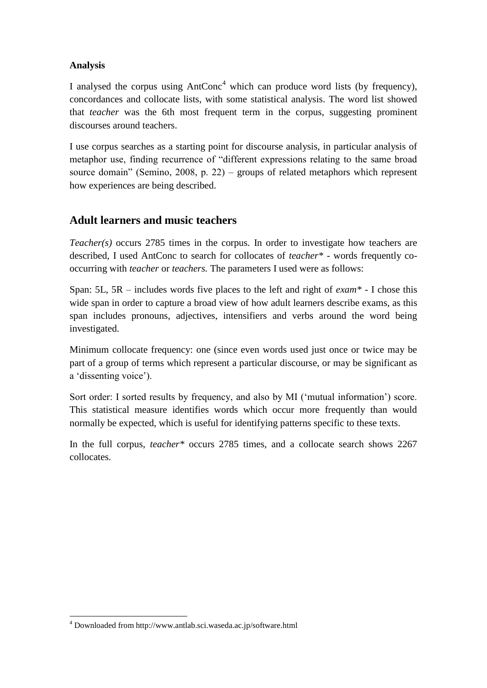#### **Analysis**

I analysed the corpus using  $AntConc<sup>4</sup>$  which can produce word lists (by frequency), concordances and collocate lists, with some statistical analysis. The word list showed that *teacher* was the 6th most frequent term in the corpus, suggesting prominent discourses around teachers.

I use corpus searches as a starting point for discourse analysis, in particular analysis of metaphor use, finding recurrence of "different expressions relating to the same broad source domain" (Semino, 2008, p. 22) – groups of related metaphors which represent how experiences are being described.

### **Adult learners and music teachers**

*Teacher(s)* occurs 2785 times in the corpus. In order to investigate how teachers are described, I used AntConc to search for collocates of *teacher\** - words frequently cooccurring with *teacher* or *teachers.* The parameters I used were as follows:

Span: 5L, 5R – includes words five places to the left and right of *exam\** - I chose this wide span in order to capture a broad view of how adult learners describe exams, as this span includes pronouns, adjectives, intensifiers and verbs around the word being investigated.

Minimum collocate frequency: one (since even words used just once or twice may be part of a group of terms which represent a particular discourse, or may be significant as a 'dissenting voice').

Sort order: I sorted results by frequency, and also by MI ('mutual information') score. This statistical measure identifies words which occur more frequently than would normally be expected, which is useful for identifying patterns specific to these texts.

In the full corpus, *teacher\** occurs 2785 times, and a collocate search shows 2267 collocates.

**.** 

<sup>&</sup>lt;sup>4</sup> Downloaded from http://www.antlab.sci.waseda.ac.jp/software.html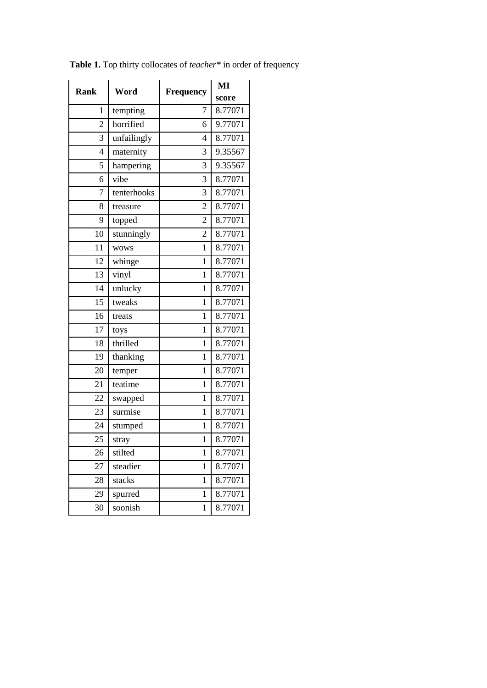| Rank           | Word        | <b>Frequency</b> | MI      |
|----------------|-------------|------------------|---------|
|                |             |                  | score   |
| $\mathbf{1}$   | tempting    | $\overline{7}$   | 8.77071 |
| $\overline{2}$ | horrified   | 6                | 9.77071 |
| 3              | unfailingly | 4                | 8.77071 |
| $\overline{4}$ | maternity   | 3                | 9.35567 |
| 5              | hampering   | 3                | 9.35567 |
| 6              | vibe        | 3                | 8.77071 |
| $\overline{7}$ | tenterhooks | 3                | 8.77071 |
| 8              | treasure    | 2                | 8.77071 |
| 9              | topped      | $\overline{2}$   | 8.77071 |
| 10             | stunningly  | $\overline{2}$   | 8.77071 |
| 11             | wows        | 1                | 8.77071 |
| 12             | whinge      | $\mathbf{1}$     | 8.77071 |
| 13             | vinyl       | $\mathbf{1}$     | 8.77071 |
| 14             | unlucky     | $\mathbf{1}$     | 8.77071 |
| 15             | tweaks      | 1                | 8.77071 |
| 16             | treats      | 1                | 8.77071 |
| 17             | toys        | 1                | 8.77071 |
| 18             | thrilled    | $\mathbf{1}$     | 8.77071 |
| 19             | thanking    | $\mathbf{1}$     | 8.77071 |
| 20             | temper      | 1                | 8.77071 |
| 21             | teatime     | 1                | 8.77071 |
| 22             | swapped     | 1                | 8.77071 |
| 23             | surmise     | $\mathbf{1}$     | 8.77071 |
| 24             | stumped     | $\mathbf{1}$     | 8.77071 |
| 25             | stray       | $\mathbf{1}$     | 8.77071 |
| 26             | stilted     | 1                | 8.77071 |
| 27             | steadier    | 1                | 8.77071 |
| 28             | stacks      | 1                | 8.77071 |
| 29             | spurred     | 1                | 8.77071 |
| 30             | soonish     | $\mathbf 1$      | 8.77071 |

**Table 1.** Top thirty collocates of *teacher\** in order of frequency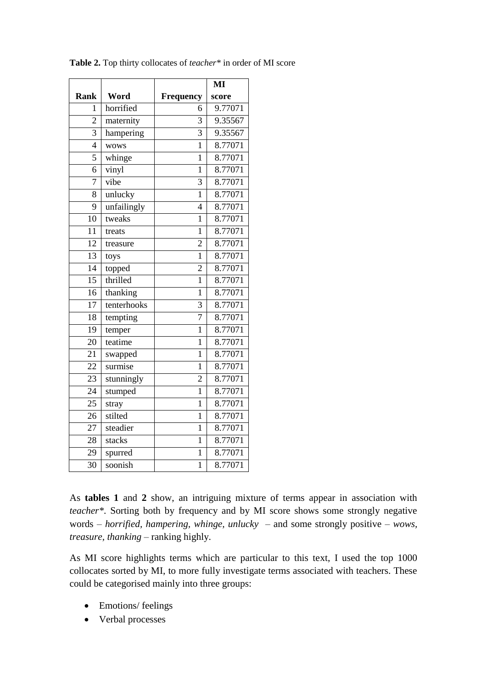|                 |                           |                  | MI      |
|-----------------|---------------------------|------------------|---------|
| <b>Rank</b>     | Word                      | <b>Frequency</b> | score   |
| 1               | horrified                 | 6                | 9.77071 |
| $\overline{2}$  | maternity                 | 3                | 9.35567 |
| 3               | hampering                 | 3                | 9.35567 |
| $\overline{4}$  | wows                      | $\mathbf{1}$     | 8.77071 |
| 5               | whinge                    | $\mathbf{1}$     | 8.77071 |
| 6               | vinyl                     | $\mathbf{1}$     | 8.77071 |
| 7               | vibe                      | 3                | 8.77071 |
| 8               | unlucky                   | $\mathbf{1}$     | 8.77071 |
| 9               | unfailingly               | $\overline{4}$   | 8.77071 |
| 10              | tweaks                    | $\mathbf{1}$     | 8.77071 |
| 11              | treats                    | $\mathbf{1}$     | 8.77071 |
| $\overline{12}$ | treasure                  | $\overline{2}$   | 8.77071 |
| 13              | toys                      | 1                | 8.77071 |
| 14              | topped                    | $\overline{c}$   | 8.77071 |
| $\overline{15}$ | thrilled                  | $\overline{1}$   | 8.77071 |
| $\overline{16}$ | thanking                  | $\mathbf{1}$     | 8.77071 |
| 17              | tenterhooks               | 3                | 8.77071 |
| 18              | tempting                  | $\overline{7}$   | 8.77071 |
| 19              | temper                    | $\mathbf{1}$     | 8.77071 |
| 20              | teatime                   | $\mathbf{1}$     | 8.77071 |
| $\overline{21}$ | swapped                   | $\mathbf{1}$     | 8.77071 |
| $\overline{22}$ | surmise                   | $\mathbf{1}$     | 8.77071 |
| 23              | stunningly                | $\overline{2}$   | 8.77071 |
| $\overline{24}$ | stumped                   | $\overline{1}$   | 8.77071 |
| $\overline{25}$ | stray                     | $\mathbf{1}$     | 8.77071 |
| 26              | stilted                   | $\mathbf 1$      | 8.77071 |
| $\overline{27}$ | steadier                  | $\mathbf{1}$     | 8.77071 |
| 28              | stacks                    | $\mathbf{1}$     | 8.77071 |
| 29              | spurred                   | 1                | 8.77071 |
| 30              | $\overline{\rm so}$ onish | $\mathbf{1}$     | 8.77071 |

**Table 2.** Top thirty collocates of *teacher\** in order of MI score

As **tables 1** and **2** show, an intriguing mixture of terms appear in association with *teacher\**. Sorting both by frequency and by MI score shows some strongly negative words – *horrified, hampering, whinge, unlucky* – and some strongly positive – *wows, treasure, thanking* – ranking highly.

As MI score highlights terms which are particular to this text, I used the top 1000 collocates sorted by MI, to more fully investigate terms associated with teachers. These could be categorised mainly into three groups:

- Emotions/ feelings
- Verbal processes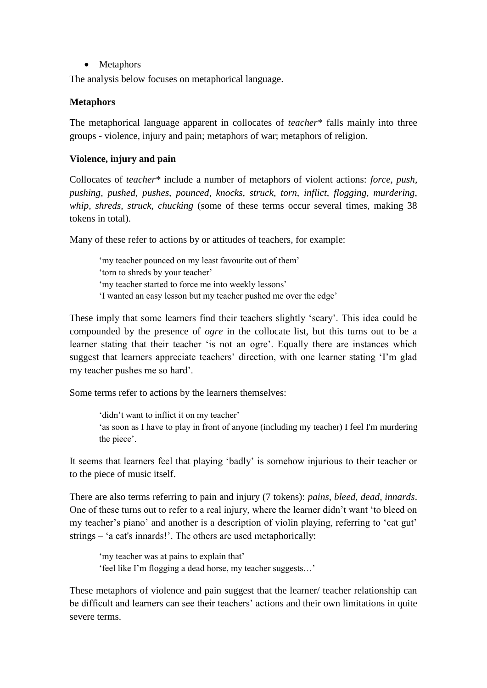• Metaphors

The analysis below focuses on metaphorical language.

#### **Metaphors**

The metaphorical language apparent in collocates of *teacher\** falls mainly into three groups - violence, injury and pain; metaphors of war; metaphors of religion.

#### **Violence, injury and pain**

Collocates of *teacher\** include a number of metaphors of violent actions: *force, push, pushing, pushed, pushes, pounced, knocks, struck, torn, inflict, flogging, murdering, whip, shreds, struck, chucking* (some of these terms occur several times, making 38 tokens in total).

Many of these refer to actions by or attitudes of teachers, for example:

'my teacher pounced on my least favourite out of them' 'torn to shreds by your teacher' 'my teacher started to force me into weekly lessons' 'I wanted an easy lesson but my teacher pushed me over the edge'

These imply that some learners find their teachers slightly 'scary'. This idea could be compounded by the presence of *ogre* in the collocate list, but this turns out to be a learner stating that their teacher 'is not an ogre'. Equally there are instances which suggest that learners appreciate teachers' direction, with one learner stating 'I'm glad my teacher pushes me so hard'.

Some terms refer to actions by the learners themselves:

'didn't want to inflict it on my teacher' 'as soon as I have to play in front of anyone (including my teacher) I feel I'm murdering the piece'.

It seems that learners feel that playing 'badly' is somehow injurious to their teacher or to the piece of music itself.

There are also terms referring to pain and injury (7 tokens): *pains, bleed, dead, innards*. One of these turns out to refer to a real injury, where the learner didn't want 'to bleed on my teacher's piano' and another is a description of violin playing, referring to 'cat gut' strings – 'a cat's innards!'. The others are used metaphorically:

'my teacher was at pains to explain that' 'feel like I'm flogging a dead horse, my teacher suggests…'

These metaphors of violence and pain suggest that the learner/ teacher relationship can be difficult and learners can see their teachers' actions and their own limitations in quite severe terms.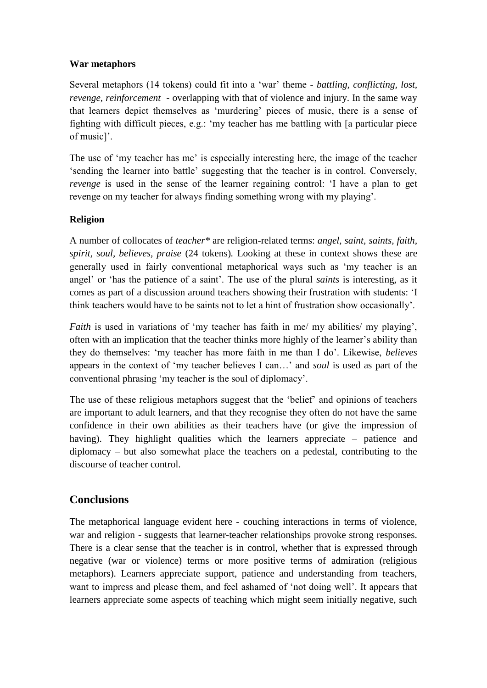#### **War metaphors**

Several metaphors (14 tokens) could fit into a 'war' theme - *battling, conflicting, lost, revenge, reinforcement -* overlapping with that of violence and injury. In the same way that learners depict themselves as 'murdering' pieces of music, there is a sense of fighting with difficult pieces, e.g.: 'my teacher has me battling with [a particular piece of music]'.

The use of 'my teacher has me' is especially interesting here, the image of the teacher 'sending the learner into battle' suggesting that the teacher is in control. Conversely, *revenge* is used in the sense of the learner regaining control: 'I have a plan to get revenge on my teacher for always finding something wrong with my playing'.

### **Religion**

A number of collocates of *teacher\** are religion-related terms: *angel, saint, saints, faith, spirit, soul, believes, praise* (24 tokens)*.* Looking at these in context shows these are generally used in fairly conventional metaphorical ways such as 'my teacher is an angel' or 'has the patience of a saint'. The use of the plural *saints* is interesting, as it comes as part of a discussion around teachers showing their frustration with students: 'I think teachers would have to be saints not to let a hint of frustration show occasionally'.

*Faith* is used in variations of 'my teacher has faith in me/ my abilities/ my playing'. often with an implication that the teacher thinks more highly of the learner's ability than they do themselves: 'my teacher has more faith in me than I do'. Likewise, *believes*  appears in the context of 'my teacher believes I can…' and *soul* is used as part of the conventional phrasing 'my teacher is the soul of diplomacy'.

The use of these religious metaphors suggest that the 'belief' and opinions of teachers are important to adult learners, and that they recognise they often do not have the same confidence in their own abilities as their teachers have (or give the impression of having). They highlight qualities which the learners appreciate – patience and diplomacy – but also somewhat place the teachers on a pedestal, contributing to the discourse of teacher control.

## **Conclusions**

The metaphorical language evident here - couching interactions in terms of violence, war and religion - suggests that learner-teacher relationships provoke strong responses. There is a clear sense that the teacher is in control, whether that is expressed through negative (war or violence) terms or more positive terms of admiration (religious metaphors). Learners appreciate support, patience and understanding from teachers, want to impress and please them, and feel ashamed of 'not doing well'. It appears that learners appreciate some aspects of teaching which might seem initially negative, such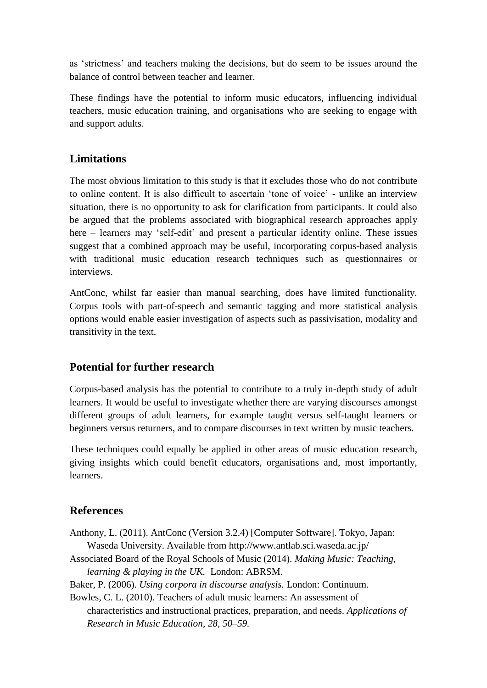as 'strictness' and teachers making the decisions, but do seem to be issues around the balance of control between teacher and learner.

These findings have the potential to inform music educators, influencing individual teachers, music education training, and organisations who are seeking to engage with and support adults.

# **Limitations**

The most obvious limitation to this study is that it excludes those who do not contribute to online content. It is also difficult to ascertain 'tone of voice' - unlike an interview situation, there is no opportunity to ask for clarification from participants. It could also be argued that the problems associated with biographical research approaches apply here – learners may 'self-edit' and present a particular identity online. These issues suggest that a combined approach may be useful, incorporating corpus-based analysis with traditional music education research techniques such as questionnaires or interviews.

AntConc, whilst far easier than manual searching, does have limited functionality. Corpus tools with part-of-speech and semantic tagging and more statistical analysis options would enable easier investigation of aspects such as passivisation, modality and transitivity in the text.

# **Potential for further research**

Corpus-based analysis has the potential to contribute to a truly in-depth study of adult learners. It would be useful to investigate whether there are varying discourses amongst different groups of adult learners, for example taught versus self-taught learners or beginners versus returners, and to compare discourses in text written by music teachers.

These techniques could equally be applied in other areas of music education research, giving insights which could benefit educators, organisations and, most importantly, learners.

# **References**

- Anthony, L. (2011). AntConc (Version 3.2.4) [Computer Software]. Tokyo, Japan: Waseda University. Available from http://www.antlab.sci.waseda.ac.jp/
- Associated Board of the Royal Schools of Music (2014). *Making Music: Teaching, learning & playing in the UK.* London: ABRSM.

Baker, P. (2006). *Using corpora in discourse analysis.* London: Continuum.

Bowles, C. L. (2010). Teachers of adult music learners: An assessment of characteristics and instructional practices, preparation, and needs. *Applications of Research in Music Education, 28, 50–59.*